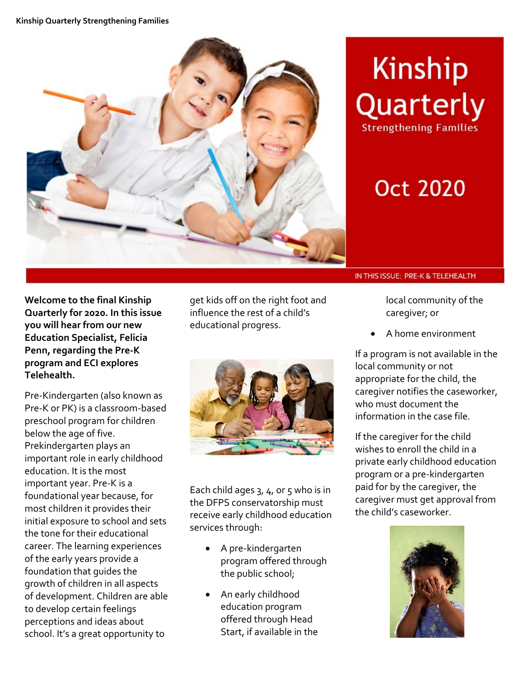

# **Kinship** Quarterly **Strengthening Families**

# **Oct 2020**

**Welcome to the final Kinship Quarterly for 2020. In this issue you will hear from our new Education Specialist, Felicia Penn, regarding the Pre-K program and ECI explores Telehealth.** 

Pre-Kindergarten (also known as Pre-K or PK) is a classroom-based preschool program for children below the age of five. Prekindergarten plays an important role in early childhood education. It is the most important year. Pre-K is a foundational year because, for most children it provides their initial exposure to school and sets the tone for their educational career. The learning experiences of the early years provide a foundation that guides the growth of children in all aspects of development. Children are able to develop certain feelings perceptions and ideas about school. It's a great opportunity to

get kids off on the right foot and influence the rest of a child's educational progress.



Each child ages  $3, 4$ , or  $5$  who is in the DFPS conservatorship must receive early childhood education services through:

- A pre-kindergarten program offered through the public school;
- An early childhood education program offered through Head Start, if available in the

IN THIS ISSUE: PRE-K & TELEHEALTH

local community of the caregiver; or

• A home environment

If a program is not available in the local community or not appropriate for the child, the caregiver notifies the caseworker, who must document the information in the case file.

If the caregiver for the child wishes to enroll the child in a private early childhood education program or a pre-kindergarten paid for by the caregiver, the caregiver must get approval from the child's caseworker.

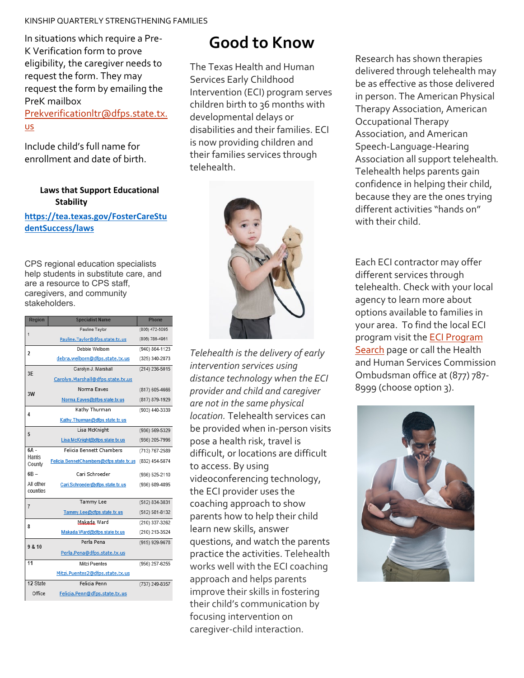#### KINSHIP QUARTERLY STRENGTHENING FAMILIES

In situations which require a Pre-K Verification form to prove eligibility, the caregiver needs to request the form. They may request the form by emailing the PreK mailbox [Prekverificationltr@dfps.state.tx.](mailto:Prekverificationltr@dfps.state.tx.us) [us](mailto:Prekverificationltr@dfps.state.tx.us)

Include child's full name for enrollment and date of birth.

#### **Laws that Support Educational Stability**

**[https://tea.texas.gov/FosterCareStu](https://tea.texas.gov/FosterCareStudentSuccess/laws) [dentSuccess/laws](https://tea.texas.gov/FosterCareStudentSuccess/laws)**

CPS regional education specialists help students in substitute care, and are a resource to CPS staff, caregivers, and community stakeholders.

| Region           | <b>Specialist Name</b>                  | <b>Phone</b>   |
|------------------|-----------------------------------------|----------------|
| 1                | Pauline Taylor                          | (806) 472-5095 |
|                  | Pauline.Taylor@dfps.state.tx.us         | (806) 786-4961 |
| 2                | Debbie Welborn                          | (940) 864-1123 |
|                  | debra.welborn@dfps.state.tx.us          | (325) 340-2873 |
| 3F               | Carolyn J. Marshall                     | (214) 236-5015 |
|                  | Carolyn.Marshall@dfps.state.tx.us       |                |
| 3W               | Norma Eaves                             | (817) 605-4666 |
|                  | Norma.Eaves@dfps.state.tx.us            | (817) 879-1929 |
| 4                | Kathy Thurman                           | (903) 440-3339 |
|                  | Kathy. Thurman@dfps.state.tx.us         |                |
| 5                | Lisa McKnight                           | (936) 569-5329 |
|                  | Lisa.McKnight@dfps.state.tx.us          | (936) 205-7996 |
| $6A -$           | Felicia Bennett Chambers                | (713) 767-2589 |
| Harris<br>County | Felicia.BennetChambers@dfps.state.tx.us | (832) 454-5874 |
| $6B -$           | Cari Schroeder                          | (936) 525-2110 |
| All other        | Cari.Schroeder@dfps.state.tx.us         | (936) 689-4895 |
| counties         |                                         |                |
| $\overline{1}$   | Tammy Lee                               | (512) 834-3831 |
|                  | Tammy.Lee@dfps.state.tx.us              | (512) 581-8132 |
| 8                | Makada Ward                             | (210) 337-3262 |
|                  | Makada. Ward@dfps.state.tx.us           | (210) 213-3524 |
| 9 & 10           | Perla Pena                              | (915) 929-9678 |
|                  | Perla.Pena@dfps.state.tx.us             |                |
| 11               | Mitzi Puentes                           | (956) 257-6255 |
|                  | Mitzi.Puentes2@dfps.state.tx.us         |                |
| 12 State         | Felicia Penn                            | (737) 249-8357 |
| Office           | Felicia.Penn@dfps.state.tx.us           |                |

# **Good to Know**

The Texas Health and Human Services Early Childhood Intervention (ECI) program serves children birth to 36 months with developmental delays or disabilities and their families. ECI is now providing children and their families services through telehealth.



*Telehealth is the delivery of early intervention services using distance technology when the ECI provider and child and caregiver are not in the same physical location.* Telehealth services can be provided when in-person visits pose a health risk, travel is difficult, or locations are difficult to access. By using videoconferencing technology, the ECI provider uses the coaching approach to show parents how to help their child learn new skills, answer questions, and watch the parents practice the activities. Telehealth works well with the ECI coaching approach and helps parents improve their skills in fostering their child's communication by focusing intervention on caregiver-child interaction.

Research has shown therapies delivered through telehealth may be as effective as those delivered in person. The American Physical Therapy Association, American Occupational Therapy Association, and American Speech-Language-Hearing Association all support telehealth*.* Telehealth helps parents gain confidence in helping their child, because they are the ones trying different activities "hands on" with their child.

Each ECI contractor may offer different services through telehealth. Check with your local agency to learn more about options available to families in your area. To find the local ECI program visit the **ECI Program** [Search](https://citysearch.hhsc.state.tx.us/) page or call the Health and Human Services Commission Ombudsman office at (877) 787- 8999 (choose option 3).

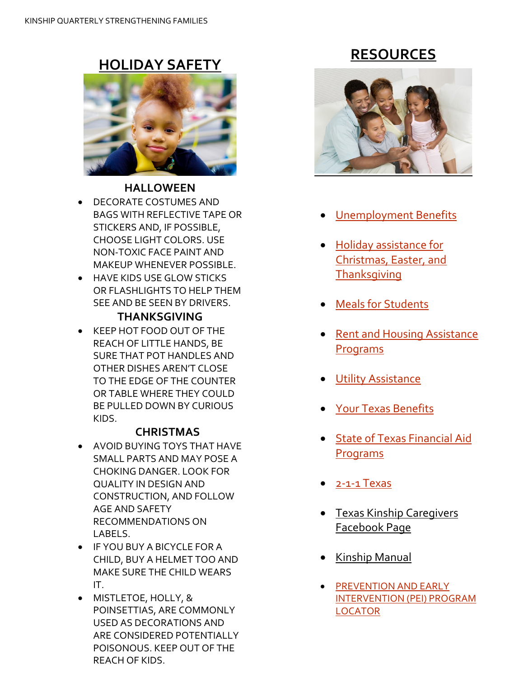## **HOLIDAY SAFETY**



### **HALLOWEEN**

- DECORATE COSTUMES AND BAGS WITH REFLECTIVE TAPE OR STICKERS AND, IF POSSIBLE, CHOOSE LIGHT COLORS. USE NON-TOXIC FACE PAINT AND MAKEUP WHENEVER POSSIBLE.
- HAVE KIDS USE GLOW STICKS OR FLASHLIGHTS TO HELP THEM SEE AND BE SEEN BY DRIVERS.

### **THANKSGIVING**

• KEEP HOT FOOD OUT OF THE REACH OF LITTLE HANDS, BE SURE THAT POT HANDLES AND OTHER DISHES AREN'T CLOSE TO THE EDGE OF THE COUNTER OR TABLE WHERE THEY COULD BE PULLED DOWN BY CURIOUS KIDS.

## **CHRISTMAS**

- AVOID BUYING TOYS THAT HAVE SMALL PARTS AND MAY POSE A CHOKING DANGER. LOOK FOR QUALITY IN DESIGN AND CONSTRUCTION, AND FOLLOW AGE AND SAFETY RECOMMENDATIONS ON LABELS.
- IF YOU BUY A BICYCLE FOR A CHILD, BUY A HELMET TOO AND MAKE SURE THE CHILD WEARS IT.
- MISTLETOE, HOLLY, & POINSETTIAS, ARE COMMONLY USED AS DECORATIONS AND ARE CONSIDERED POTENTIALLY POISONOUS. KEEP OUT OF THE REACH OF KIDS.

## **RESOURCES**



- [Unemployment Benefits](https://www.twc.texas.gov/jobseekers/applying-unemployment-benefits)
- [Holiday assistance for](https://www.needhelppayingbills.com/html/holiday_assistance___christmas.html)  [Christmas, Easter, and](https://www.needhelppayingbills.com/html/holiday_assistance___christmas.html)  **[Thanksgiving](https://www.needhelppayingbills.com/html/holiday_assistance___christmas.html)**
- [Meals for Students](https://txschools.gov/)
- [Rent and Housing Assistance](https://www.needhelppayingbills.com/html/get_help_paying_rent.html)  [Programs](https://www.needhelppayingbills.com/html/get_help_paying_rent.html)
- [Utility Assistance](https://www.needhelppayingbills.com/html/need_help_with_electric_bills.html)
- [Your Texas Benefits](https://www.yourtexasbenefits.com/Learn/Home)
- [State of Texas Financial Aid](https://comptroller.texas.gov/programs/education/msp/funding/aid/aidtx.php)  [Programs](https://comptroller.texas.gov/programs/education/msp/funding/aid/aidtx.php)
- [2-1-1 Texas](https://www.211texas.org/)
- [Texas Kinship Caregivers](https://www.facebook.com/TexasKinshipCaregivers) [Facebook Page](https://www.facebook.com/TexasKinshipCaregivers)
- [Kinship Manual](https://www.dfps.state.tx.us/Child_Protection/Kinship_Care/documents/KinshipManual.pdf)
- **[PREVENTION AND EARLY](http://www.dfps.state.tx.us/Prevention_and_Early_Intervention/Programs_Available_In_Your_County/default.asp)** [INTERVENTION \(PEI\) PROGRAM](http://www.dfps.state.tx.us/Prevention_and_Early_Intervention/Programs_Available_In_Your_County/default.asp)  [LOCATOR](http://www.dfps.state.tx.us/Prevention_and_Early_Intervention/Programs_Available_In_Your_County/default.asp)